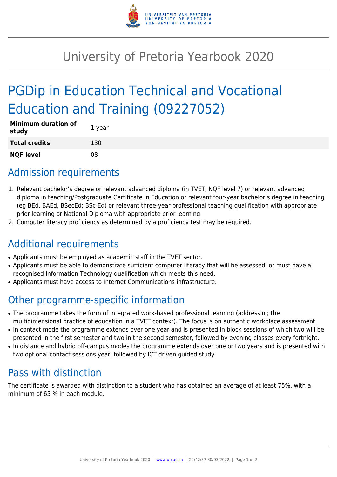

## University of Pretoria Yearbook 2020

# PGDip in Education Technical and Vocational Education and Training (09227052)

| <b>Minimum duration of</b><br>study | 1 year |
|-------------------------------------|--------|
| <b>Total credits</b>                | 130    |
| <b>NQF level</b>                    | 08     |

#### Admission requirements

- 1. Relevant bachelor's degree or relevant advanced diploma (in TVET, NQF level 7) or relevant advanced diploma in teaching/Postgraduate Certificate in Education or relevant four-year bachelor's degree in teaching (eg BEd, BAEd, BSecEd; BSc Ed) or relevant three-year professional teaching qualification with appropriate prior learning or National Diploma with appropriate prior learning
- 2. Computer literacy proficiency as determined by a proficiency test may be required.

### Additional requirements

- Applicants must be employed as academic staff in the TVET sector.
- Applicants must be able to demonstrate sufficient computer literacy that will be assessed, or must have a recognised Information Technology qualification which meets this need.
- Applicants must have access to Internet Communications infrastructure.

### Other programme-specific information

- The programme takes the form of integrated work-based professional learning (addressing the multidimensional practice of education in a TVET context). The focus is on authentic workplace assessment.
- In contact mode the programme extends over one year and is presented in block sessions of which two will be presented in the first semester and two in the second semester, followed by evening classes every fortnight.
- In distance and hybrid off-campus modes the programme extends over one or two years and is presented with two optional contact sessions year, followed by ICT driven guided study.

### Pass with distinction

The certificate is awarded with distinction to a student who has obtained an average of at least 75%, with a minimum of 65 % in each module.